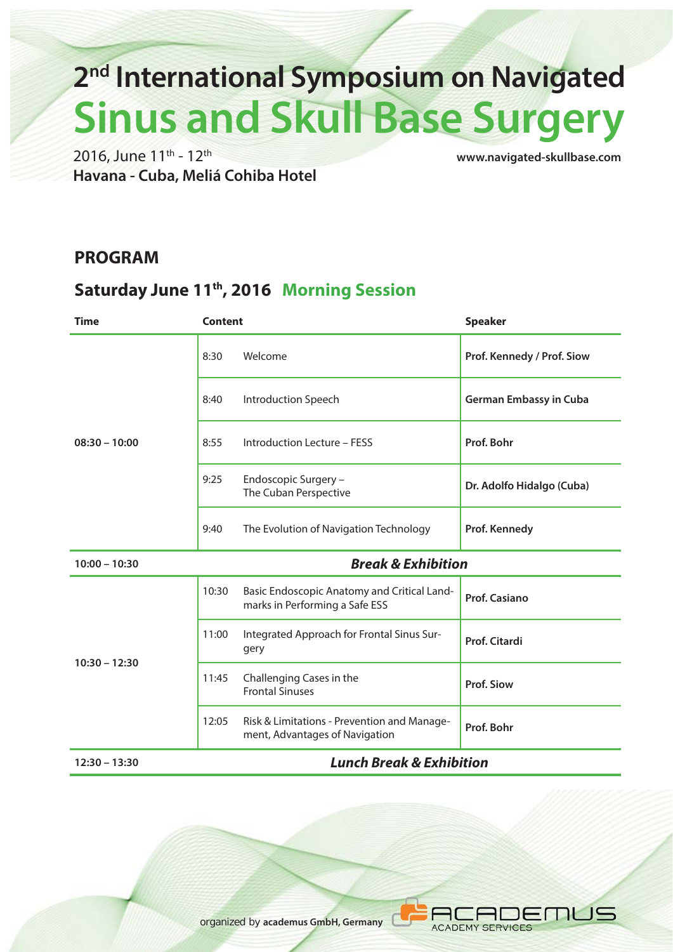## **2nd International Symposium on Navigated Sinus and Skull Base Surgery**

2016, June 11th - 12th **www.navigated-skullbase.com Havana - Cuba, Meliá Cohiba Hotel** 

 $\overline{S}$ 

**ACADEMY SERVICES** 

#### **PROGRAM**

### **Saturday June 11th, 2016 Morning Session**

| <b>Time</b>     | <b>Content</b>                      |                                                                               | <b>Speaker</b>                |  |  |
|-----------------|-------------------------------------|-------------------------------------------------------------------------------|-------------------------------|--|--|
| $08:30 - 10:00$ | 8:30                                | Welcome                                                                       | Prof. Kennedy / Prof. Siow    |  |  |
|                 | 8:40                                | Introduction Speech                                                           | <b>German Embassy in Cuba</b> |  |  |
|                 | 8:55                                | Introduction Lecture - FESS                                                   | Prof. Bohr                    |  |  |
|                 | 9:25                                | Endoscopic Surgery -<br>The Cuban Perspective                                 | Dr. Adolfo Hidalgo (Cuba)     |  |  |
|                 | 9:40                                | The Evolution of Navigation Technology                                        | Prof. Kennedy                 |  |  |
| $10:00 - 10:30$ | <b>Break &amp; Exhibition</b>       |                                                                               |                               |  |  |
| $10:30 - 12:30$ | 10:30                               | Basic Endoscopic Anatomy and Critical Land-<br>marks in Performing a Safe ESS | <b>Prof. Casiano</b>          |  |  |
|                 | 11:00                               | Integrated Approach for Frontal Sinus Sur-<br>gery                            | Prof. Citardi                 |  |  |
|                 | 11:45                               | Challenging Cases in the<br><b>Frontal Sinuses</b>                            | <b>Prof. Siow</b>             |  |  |
|                 | 12:05                               | Risk & Limitations - Prevention and Manage-<br>ment, Advantages of Navigation | Prof. Bohr                    |  |  |
| $12:30 - 13:30$ | <b>Lunch Break &amp; Exhibition</b> |                                                                               |                               |  |  |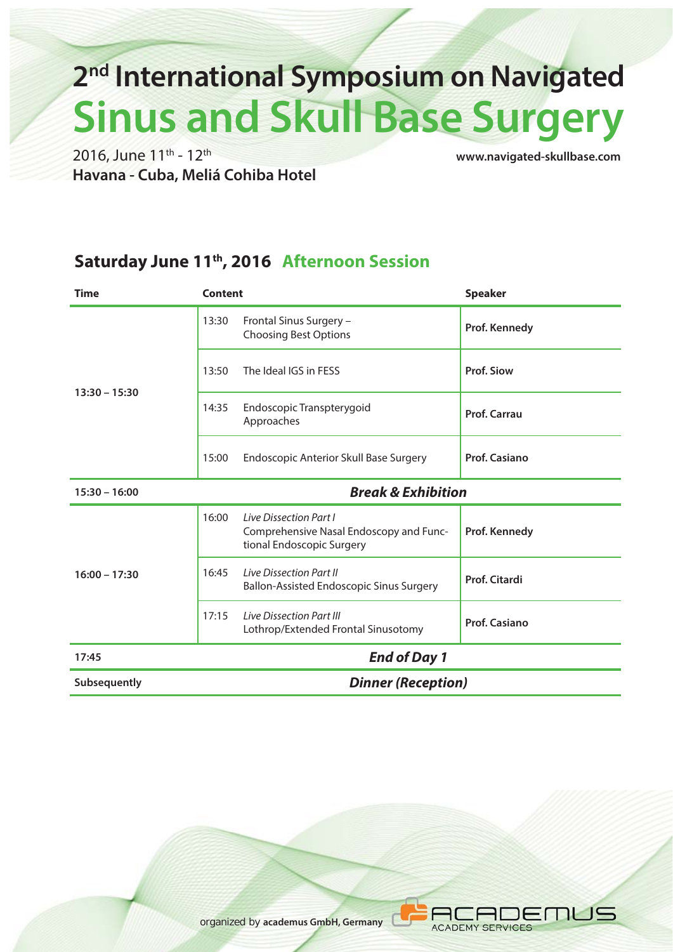# **2nd International Symposium on Navigated Sinus and Skull Base Surgery**

2016, June 11th - 12th **www.navigated-skullbase.com Havana - Cuba, Meliá Cohiba Hotel** 

#### **Saturday June 11th, 2016 Afternoon Session**

| <b>Time</b>     | Content                                                                                                 | <b>Speaker</b>       |  |  |  |
|-----------------|---------------------------------------------------------------------------------------------------------|----------------------|--|--|--|
| $13:30 - 15:30$ | Frontal Sinus Surgery -<br>13:30<br><b>Choosing Best Options</b>                                        | Prof. Kennedy        |  |  |  |
|                 | The Ideal IGS in FESS<br>13:50                                                                          | <b>Prof. Siow</b>    |  |  |  |
|                 | 14:35<br>Endoscopic Transpterygoid<br>Approaches                                                        | <b>Prof. Carrau</b>  |  |  |  |
|                 | 15:00<br>Endoscopic Anterior Skull Base Surgery                                                         | <b>Prof. Casiano</b> |  |  |  |
| $15:30 - 16:00$ | <b>Break &amp; Exhibition</b>                                                                           |                      |  |  |  |
| $16:00 - 17:30$ | 16:00<br>Live Dissection Part L<br>Comprehensive Nasal Endoscopy and Func-<br>tional Endoscopic Surgery | Prof. Kennedy        |  |  |  |
|                 | <b>Live Dissection Part II</b><br>16:45<br><b>Ballon-Assisted Endoscopic Sinus Surgery</b>              | Prof. Citardi        |  |  |  |
|                 | 17:15<br><b>Live Dissection Part III</b><br>Lothrop/Extended Frontal Sinusotomy                         | <b>Prof. Casiano</b> |  |  |  |
| 17:45           | <b>End of Day 1</b>                                                                                     |                      |  |  |  |
| Subsequently    | <b>Dinner (Reception)</b>                                                                               |                      |  |  |  |